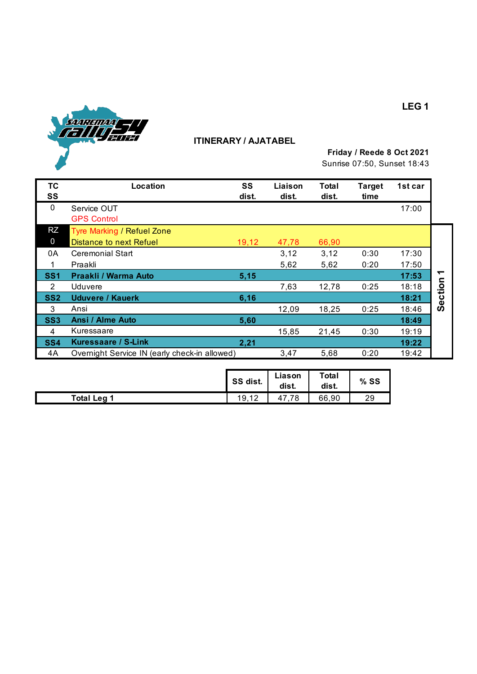

# **ITINERARY / AJATABEL**

**Friday / Reede 8 Oct 2021**

Sunrise 07:50, Sunset 18:43

| ТC<br>SS        | Location                                      | SS<br>dist. | Liaison<br>dist. | <b>Total</b><br>dist. | <b>Target</b><br>time | 1st car |       |
|-----------------|-----------------------------------------------|-------------|------------------|-----------------------|-----------------------|---------|-------|
| $\mathbf{0}$    | Service OUT<br><b>GPS Control</b>             |             |                  |                       |                       | 17:00   |       |
| RZ              | <b>Tyre Marking / Refuel Zone</b>             |             |                  |                       |                       |         |       |
| 0               | Distance to next Refuel                       | 19,12       | 47,78            | 66,90                 |                       |         |       |
| 0A              | <b>Ceremonial Start</b>                       |             | 3,12             | 3,12                  | 0:30                  | 17:30   |       |
|                 | Praakli                                       |             | 5,62             | 5,62                  | 0:20                  | 17:50   |       |
| SS <sub>1</sub> | Praakli / Warma Auto                          | 5,15        |                  |                       |                       | 17:53   |       |
| 2               | Uduvere                                       |             | 7,63             | 12,78                 | 0:25                  | 18:18   | ction |
| SS <sub>2</sub> | Uduvere / Kauerk                              | 6,16        |                  |                       |                       | 18:21   | Φ     |
| 3               | Ansi                                          |             | 12,09            | 18,25                 | 0:25                  | 18:46   | Ō     |
| <b>SS3</b>      | Ansi / Alme Auto                              | 5,60        |                  |                       |                       | 18:49   |       |
| 4               | Kuressaare                                    |             | 15,85            | 21,45                 | 0:30                  | 19:19   |       |
| SS <sub>4</sub> | Kuressaare / S-Link                           | 2,21        |                  |                       |                       | 19:22   |       |
| 4A              | Overnight Service IN (early check-in allowed) |             | 3,47             | 5,68                  | 0:20                  | 19:42   |       |

|                  | SS dist. | Liason<br>dist. | Total<br>dist. | $%$ SS |
|------------------|----------|-----------------|----------------|--------|
| <b>Total Leg</b> | 19,12    | 78<br>41        | 66,90          | 29     |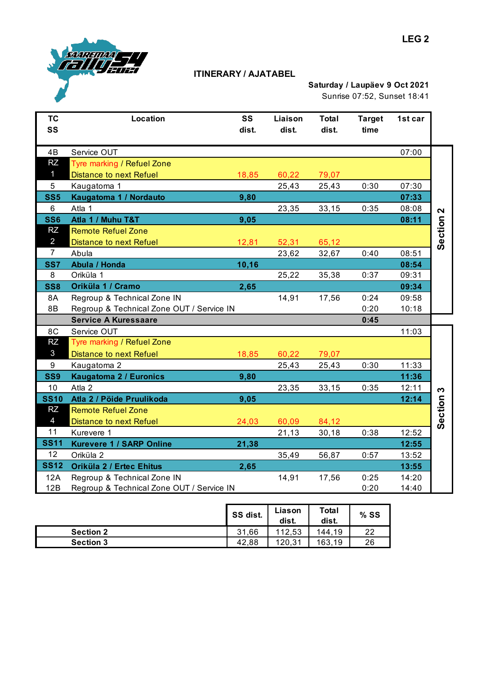

### **ITINERARY / AJATABEL**

## **Saturday / Laupäev 9 Oct 2021** Sunrise 07:52, Sunset 18:41

| <b>TC</b><br>SS | Location                                  | SS<br>dist. | Liaison<br>dist. | <b>Total</b><br>dist. | <b>Target</b><br>time | 1st car |                          |
|-----------------|-------------------------------------------|-------------|------------------|-----------------------|-----------------------|---------|--------------------------|
| 4B              | Service OUT                               |             |                  |                       |                       | 07:00   |                          |
| <b>RZ</b>       | Tyre marking / Refuel Zone                |             |                  |                       |                       |         |                          |
| $\mathbf{1}$    | <b>Distance to next Refuel</b>            | 18,85       | 60,22            | 79,07                 |                       |         |                          |
| $5\phantom{.0}$ | Kaugatoma 1                               |             | 25,43            | 25,43                 | 0:30                  | 07:30   |                          |
| SS <sub>5</sub> | Kaugatoma 1 / Nordauto                    | 9,80        |                  |                       |                       | 07:33   |                          |
| 6               | Atla 1                                    |             | 23,35            | 33,15                 | 0:35                  | 08:08   |                          |
| <b>SS6</b>      | Atla 1 / Muhu T&T                         | 9,05        |                  |                       |                       | 08:11   | Section <sub>2</sub>     |
| <b>RZ</b>       | <b>Remote Refuel Zone</b>                 |             |                  |                       |                       |         |                          |
| $\overline{2}$  | <b>Distance to next Refuel</b>            | 12,81       | 52,31            | 65,12                 |                       |         |                          |
| $\overline{7}$  | Abula                                     |             | 23,62            | 32,67                 | 0:40                  | 08:51   |                          |
| SS7             | Abula / Honda                             | 10, 16      |                  |                       |                       | 08:54   |                          |
| 8               | Oriküla 1                                 |             | 25,22            | 35,38                 | 0:37                  | 09:31   |                          |
| <b>SS8</b>      | Oriküla 1 / Cramo                         | 2,65        |                  |                       |                       | 09:34   |                          |
| 8A              | Regroup & Technical Zone IN               |             | 14,91            | 17,56                 | 0:24                  | 09:58   |                          |
| 8B              | Regroup & Technical Zone OUT / Service IN |             |                  |                       | 0:20                  | 10:18   |                          |
|                 | <b>Service A Kuressaare</b>               |             |                  |                       | 0:45                  |         |                          |
| 8C              | Service OUT                               |             |                  |                       |                       | 11:03   |                          |
| <b>RZ</b>       | Tyre marking / Refuel Zone                |             |                  |                       |                       |         |                          |
| $\mathbf{3}$    | <b>Distance to next Refuel</b>            | 18,85       | 60,22            | 79,07                 |                       |         |                          |
| 9               | Kaugatoma 2                               |             | 25,43            | 25,43                 | 0:30                  | 11:33   |                          |
| SS9             | Kaugatoma 2 / Euronics                    | 9,80        |                  |                       |                       | 11:36   |                          |
| 10              | Atla 2                                    |             | 23,35            | 33,15                 | 0:35                  | 12:11   | $\boldsymbol{\varsigma}$ |
| <b>SS10</b>     | Atla 2 / Pöide Pruulikoda                 | 9,05        |                  |                       |                       | 12:14   | Section                  |
| <b>RZ</b>       | <b>Remote Refuel Zone</b>                 |             |                  |                       |                       |         |                          |
| $\overline{4}$  | <b>Distance to next Refuel</b>            | 24,03       | 60,09            | 84,12                 |                       |         |                          |
| 11              | Kurevere 1                                |             | 21,13            | 30,18                 | 0:38                  | 12:52   |                          |
| <b>SS11</b>     | <b>Kurevere 1 / SARP Online</b>           | 21,38       |                  |                       |                       | 12:55   |                          |
| 12 <sub>2</sub> | Oriküla 2                                 |             | 35,49            | 56,87                 | 0:57                  | 13:52   |                          |
| <b>SS12</b>     | Oriküla 2 / Ertec Ehitus                  | 2,65        |                  |                       |                       | 13:55   |                          |
| 12A             | Regroup & Technical Zone IN               |             | 14,91            | 17,56                 | 0:25                  | 14:20   |                          |
| 12B             | Regroup & Technical Zone OUT / Service IN |             |                  |                       | 0:20                  | 14:40   |                          |

|                  | SS dist.  | Liason<br>dist. | Total<br>dist. | $%$ SS |
|------------------|-----------|-----------------|----------------|--------|
| <b>Section 2</b> | 31<br>.66 | 112,53          | 144.19         | າາ     |
| <b>Section 3</b> | 42.88     | 120.31          | 163.19         | 26     |